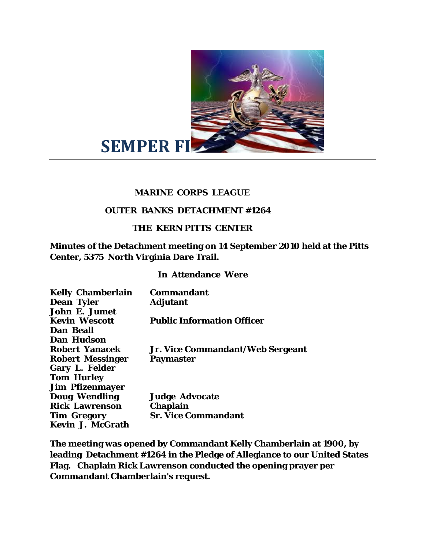

## **MARINE CORPS LEAGUE**

## **OUTER BANKS DETACHMENT #1264**

## **THE KERN PITTS CENTER**

**Minutes of the Detachment meeting on 14 September 2010 held at the Pitts Center, 5375 North Virginia Dare Trail.** 

## **In Attendance Were**

| <b>Kelly Chamberlain</b> | Commandant                        |
|--------------------------|-----------------------------------|
| <b>Dean Tyler</b>        | <b>Adjutant</b>                   |
| <b>John E. Jumet</b>     |                                   |
| <b>Kevin Wescott</b>     | <b>Public Information Officer</b> |
| Dan Beall                |                                   |
| Dan Hudson               |                                   |
| <b>Robert Yanacek</b>    | Jr. Vice Commandant/Web Sergeant  |
| <b>Robert Messinger</b>  | <b>Paymaster</b>                  |
| <b>Gary L. Felder</b>    |                                   |
| <b>Tom Hurley</b>        |                                   |
| <b>Jim Pfizenmayer</b>   |                                   |
| <b>Doug Wendling</b>     | <b>Judge Advocate</b>             |
| <b>Rick Lawrenson</b>    | <b>Chaplain</b>                   |
| Tim Gregory              | <b>Sr. Vice Commandant</b>        |
| Kevin J. McGrath         |                                   |

**The meeting was opened by Commandant Kelly Chamberlain at 1900, by leading Detachment #1264 in the Pledge of Allegiance to our United States Flag. Chaplain Rick Lawrenson conducted the opening prayer per Commandant Chamberlain's request.**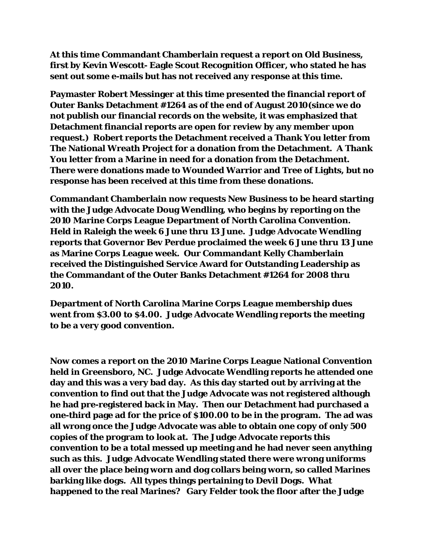**At this time Commandant Chamberlain request a report on Old Business, first by Kevin Wescott- Eagle Scout Recognition Officer, who stated he has sent out some e-mails but has not received any response at this time.** 

**Paymaster Robert Messinger at this time presented the financial report of Outer Banks Detachment #1264 as of the end of August 2010(since we do not publish our financial records on the website, it was emphasized that Detachment financial reports are open for review by any member upon request.) Robert reports the Detachment received a Thank You letter from The National Wreath Project for a donation from the Detachment. A Thank You letter from a Marine in need for a donation from the Detachment. There were donations made to Wounded Warrior and Tree of Lights, but no response has been received at this time from these donations.** 

**Commandant Chamberlain now requests New Business to be heard starting with the Judge Advocate Doug Wendling, who begins by reporting on the 2010 Marine Corps League Department of North Carolina Convention. Held in Raleigh the week 6 June thru 13 June. Judge Advocate Wendling reports that Governor Bev Perdue proclaimed the week 6 June thru 13 June as Marine Corps League week. Our Commandant Kelly Chamberlain received the Distinguished Service Award for Outstanding Leadership as the Commandant of the Outer Banks Detachment #1264 for 2008 thru 2010.** 

**Department of North Carolina Marine Corps League membership dues went from \$3.00 to \$4.00. Judge Advocate Wendling reports the meeting to be a very good convention.** 

**Now comes a report on the 2010 Marine Corps League National Convention held in Greensboro, NC. Judge Advocate Wendling reports he attended one day and this was a very bad day. As this day started out by arriving at the convention to find out that the Judge Advocate was not registered although he had pre-registered back in May. Then our Detachment had purchased a one-third page ad for the price of \$100.00 to be in the program. The ad was all wrong once the Judge Advocate was able to obtain one copy of only 500 copies of the program to look at. The Judge Advocate reports this convention to be a total messed up meeting and he had never seen anything such as this. Judge Advocate Wendling stated there were wrong uniforms all over the place being worn and dog collars being worn, so called Marines barking like dogs. All types things pertaining to Devil Dogs. What happened to the real Marines? Gary Felder took the floor after the Judge**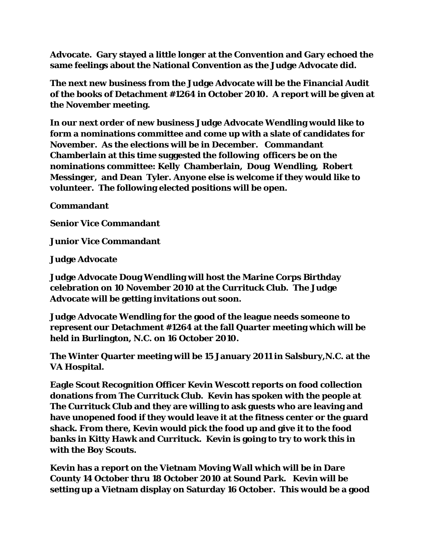**Advocate. Gary stayed a little longer at the Convention and Gary echoed the same feelings about the National Convention as the Judge Advocate did.** 

**The next new business from the Judge Advocate will be the Financial Audit of the books of Detachment #1264 in October 2010. A report will be given at the November meeting.** 

**In our next order of new business Judge Advocate Wendling would like to form a nominations committee and come up with a slate of candidates for November. As the elections will be in December. Commandant Chamberlain at this time suggested the following officers be on the nominations committee: Kelly Chamberlain, Doug Wendling, Robert Messinger, and Dean Tyler. Anyone else is welcome if they would like to volunteer. The following elected positions will be open.** 

**Commandant** 

**Senior Vice Commandant** 

**Junior Vice Commandant** 

**Judge Advocate** 

**Judge Advocate Doug Wendling will host the Marine Corps Birthday celebration on 10 November 2010 at the Currituck Club. The Judge Advocate will be getting invitations out soon.** 

**Judge Advocate Wendling for the good of the league needs someone to represent our Detachment #1264 at the fall Quarter meeting which will be held in Burlington, N.C. on 16 October 2010.** 

**The Winter Quarter meeting will be 15 January 2011 in Salsbury,N.C. at the VA Hospital.** 

**Eagle Scout Recognition Officer Kevin Wescott reports on food collection donations from The Currituck Club. Kevin has spoken with the people at The Currituck Club and they are willing to ask guests who are leaving and have unopened food if they would leave it at the fitness center or the guard shack. From there, Kevin would pick the food up and give it to the food banks in Kitty Hawk and Currituck. Kevin is going to try to work this in with the Boy Scouts.** 

**Kevin has a report on the Vietnam Moving Wall which will be in Dare County 14 October thru 18 October 2010 at Sound Park. Kevin will be setting up a Vietnam display on Saturday 16 October. This would be a good**